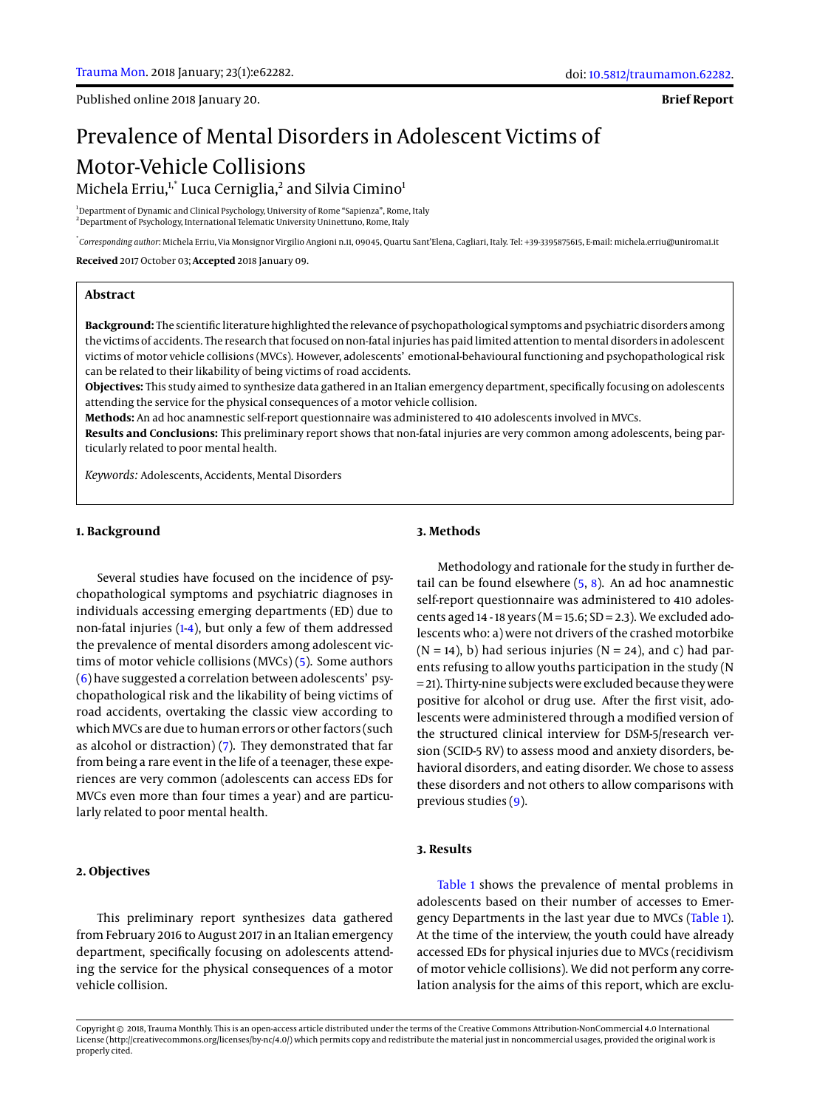**Brief Report**

# Prevalence of Mental Disorders in Adolescent Victims of Motor-Vehicle Collisions Michela Erriu,<sup>1,\*</sup> Luca Cerniglia,<sup>2</sup> and Silvia Cimino<sup>1</sup>

<sup>1</sup>Department of Dynamic and Clinical Psychology, University of Rome "Sapienza", Rome, Italy <sup>2</sup> Department of Psychology, International Telematic University Uninettuno, Rome, Italy

\* *Corresponding author*: Michela Erriu, Via Monsignor Virgilio Angioni n.11, 09045, Quartu Sant'Elena, Cagliari, Italy. Tel: +39-3395875615, E-mail: michela.erriu@uniroma1.it

**Received** 2017 October 03; **Accepted** 2018 January 09.

#### **Abstract**

**Background:** The scientific literature highlighted the relevance of psychopathological symptoms and psychiatric disorders among the victims of accidents. The research that focused on non-fatal injuries has paid limited attention to mental disorders in adolescent victims of motor vehicle collisions (MVCs). However, adolescents' emotional-behavioural functioning and psychopathological risk can be related to their likability of being victims of road accidents.

**Objectives:** This study aimed to synthesize data gathered in an Italian emergency department, specifically focusing on adolescents attending the service for the physical consequences of a motor vehicle collision.

**Methods:** An ad hoc anamnestic self-report questionnaire was administered to 410 adolescents involved in MVCs.

**Results and Conclusions:** This preliminary report shows that non-fatal injuries are very common among adolescents, being particularly related to poor mental health.

*Keywords:* Adolescents, Accidents, Mental Disorders

# **1. Background**

Several studies have focused on the incidence of psychopathological symptoms and psychiatric diagnoses in individuals accessing emerging departments (ED) due to non-fatal injuries [\(1](#page-1-0)[-4\)](#page-1-1), but only a few of them addressed the prevalence of mental disorders among adolescent victims of motor vehicle collisions (MVCs) [\(5\)](#page-1-2). Some authors [\(6\)](#page-1-3) have suggested a correlation between adolescents' psychopathological risk and the likability of being victims of road accidents, overtaking the classic view according to which MVCs are due to human errors or other factors (such as alcohol or distraction)  $(7)$ . They demonstrated that far from being a rare event in the life of a teenager, these experiences are very common (adolescents can access EDs for MVCs even more than four times a year) and are particularly related to poor mental health.

#### **2. Objectives**

This preliminary report synthesizes data gathered from February 2016 to August 2017 in an Italian emergency department, specifically focusing on adolescents attending the service for the physical consequences of a motor vehicle collision.

#### **3. Methods**

Methodology and rationale for the study in further detail can be found elsewhere  $(5, 8)$  $(5, 8)$  $(5, 8)$ . An ad hoc anamnestic self-report questionnaire was administered to 410 adolescents aged 14 - 18 years ( $M = 15.6$ ; SD = 2.3). We excluded adolescents who: a) were not drivers of the crashed motorbike  $(N = 14)$ , b) had serious injuries  $(N = 24)$ , and c) had parents refusing to allow youths participation in the study (N = 21). Thirty-nine subjects were excluded because they were positive for alcohol or drug use. After the first visit, adolescents were administered through a modified version of the structured clinical interview for DSM-5/research version (SCID-5 RV) to assess mood and anxiety disorders, behavioral disorders, and eating disorder. We chose to assess these disorders and not others to allow comparisons with previous studies [\(9\)](#page-1-6).

#### **3. Results**

[Table 1](#page-2-0) shows the prevalence of mental problems in adolescents based on their number of accesses to Emergency Departments in the last year due to MVCs [\(Table 1\)](#page-2-0). At the time of the interview, the youth could have already accessed EDs for physical injuries due to MVCs (recidivism of motor vehicle collisions). We did not perform any correlation analysis for the aims of this report, which are exclu-

Copyright © 2018, Trauma Monthly. This is an open-access article distributed under the terms of the Creative Commons Attribution-NonCommercial 4.0 International License (http://creativecommons.org/licenses/by-nc/4.0/) which permits copy and redistribute the material just in noncommercial usages, provided the original work is properly cited.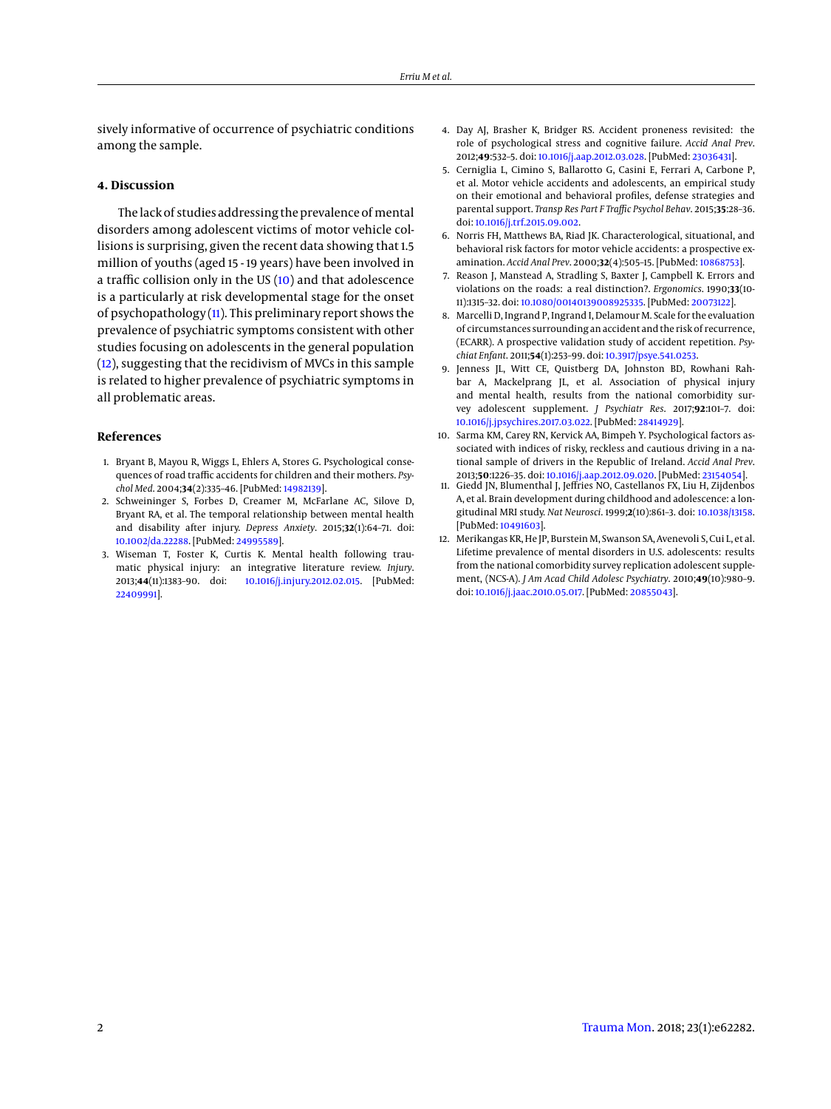sively informative of occurrence of psychiatric conditions among the sample.

## **4. Discussion**

The lack of studies addressing the prevalence of mental disorders among adolescent victims of motor vehicle collisions is surprising, given the recent data showing that 1.5 million of youths (aged 15 - 19 years) have been involved in a traffic collision only in the US [\(10\)](#page-1-7) and that adolescence is a particularly at risk developmental stage for the onset of psychopathology  $(11)$ . This preliminary report shows the prevalence of psychiatric symptoms consistent with other studies focusing on adolescents in the general population [\(12\)](#page-1-9), suggesting that the recidivism of MVCs in this sample is related to higher prevalence of psychiatric symptoms in all problematic areas.

# **References**

- <span id="page-1-0"></span>1. Bryant B, Mayou R, Wiggs L, Ehlers A, Stores G. Psychological consequences of road traffic accidents for children and their mothers. *Psychol Med*. 2004;**34**(2):335–46. [PubMed: [14982139\]](http://www.ncbi.nlm.nih.gov/pubmed/14982139).
- 2. Schweininger S, Forbes D, Creamer M, McFarlane AC, Silove D, Bryant RA, et al. The temporal relationship between mental health and disability after injury. *Depress Anxiety*. 2015;**32**(1):64–71. doi: [10.1002/da.22288.](http://dx.doi.org/10.1002/da.22288) [PubMed: [24995589\]](http://www.ncbi.nlm.nih.gov/pubmed/24995589).
- 3. Wiseman T, Foster K, Curtis K. Mental health following traumatic physical injury: an integrative literature review. *Injury*. 2013;**44**(11):1383–90. doi: [10.1016/j.injury.2012.02.015.](http://dx.doi.org/10.1016/j.injury.2012.02.015) [PubMed: [22409991\]](http://www.ncbi.nlm.nih.gov/pubmed/22409991).
- <span id="page-1-1"></span>4. Day AJ, Brasher K, Bridger RS. Accident proneness revisited: the role of psychological stress and cognitive failure. *Accid Anal Prev*. 2012;**49**:532–5. doi: [10.1016/j.aap.2012.03.028.](http://dx.doi.org/10.1016/j.aap.2012.03.028) [PubMed: [23036431\]](http://www.ncbi.nlm.nih.gov/pubmed/23036431).
- <span id="page-1-2"></span>5. Cerniglia L, Cimino S, Ballarotto G, Casini E, Ferrari A, Carbone P, et al. Motor vehicle accidents and adolescents, an empirical study on their emotional and behavioral profiles, defense strategies and parental support. *Transp Res Part F Traffic Psychol Behav*. 2015;**35**:28–36. doi: [10.1016/j.trf.2015.09.002.](http://dx.doi.org/10.1016/j.trf.2015.09.002)
- <span id="page-1-3"></span>6. Norris FH, Matthews BA, Riad JK. Characterological, situational, and behavioral risk factors for motor vehicle accidents: a prospective examination. *Accid Anal Prev*. 2000;**32**(4):505–15. [PubMed: [10868753\]](http://www.ncbi.nlm.nih.gov/pubmed/10868753).
- <span id="page-1-4"></span>7. Reason J, Manstead A, Stradling S, Baxter J, Campbell K. Errors and violations on the roads: a real distinction?. *Ergonomics*. 1990;**33**(10- 11):1315–32. doi: [10.1080/00140139008925335.](http://dx.doi.org/10.1080/00140139008925335) [PubMed: [20073122\]](http://www.ncbi.nlm.nih.gov/pubmed/20073122).
- <span id="page-1-5"></span>8. Marcelli D, Ingrand P, Ingrand I, Delamour M. Scale for the evaluation of circumstances surrounding an accident and the risk of recurrence, (ECARR). A prospective validation study of accident repetition. *Psychiat Enfant*. 2011;**54**(1):253–99. doi: [10.3917/psye.541.0253.](http://dx.doi.org/10.3917/psye.541.0253)
- <span id="page-1-6"></span>9. Jenness JL, Witt CE, Quistberg DA, Johnston BD, Rowhani Rahbar A, Mackelprang JL, et al. Association of physical injury and mental health, results from the national comorbidity survey adolescent supplement. *J Psychiatr Res*. 2017;**92**:101–7. doi: [10.1016/j.jpsychires.2017.03.022.](http://dx.doi.org/10.1016/j.jpsychires.2017.03.022) [PubMed: [28414929\]](http://www.ncbi.nlm.nih.gov/pubmed/28414929).
- <span id="page-1-7"></span>10. Sarma KM, Carey RN, Kervick AA, Bimpeh Y. Psychological factors associated with indices of risky, reckless and cautious driving in a national sample of drivers in the Republic of Ireland. *Accid Anal Prev*. 2013;**50**:1226–35. doi: [10.1016/j.aap.2012.09.020.](http://dx.doi.org/10.1016/j.aap.2012.09.020) [PubMed: [23154054\]](http://www.ncbi.nlm.nih.gov/pubmed/23154054).
- <span id="page-1-8"></span>11. Giedd JN, Blumenthal J, Jeffries NO, Castellanos FX, Liu H, Zijdenbos A, et al. Brain development during childhood and adolescence: a longitudinal MRI study. *Nat Neurosci*. 1999;**2**(10):861–3. doi: [10.1038/13158.](http://dx.doi.org/10.1038/13158) [PubMed: [10491603\]](http://www.ncbi.nlm.nih.gov/pubmed/10491603).
- <span id="page-1-9"></span>12. Merikangas KR, He JP, Burstein M, Swanson SA, Avenevoli S, Cui L, et al. Lifetime prevalence of mental disorders in U.S. adolescents: results from the national comorbidity survey replication adolescent supplement, (NCS-A). *J Am Acad Child Adolesc Psychiatry*. 2010;**49**(10):980–9. doi: [10.1016/j.jaac.2010.05.017.](http://dx.doi.org/10.1016/j.jaac.2010.05.017) [PubMed: [20855043\]](http://www.ncbi.nlm.nih.gov/pubmed/20855043).